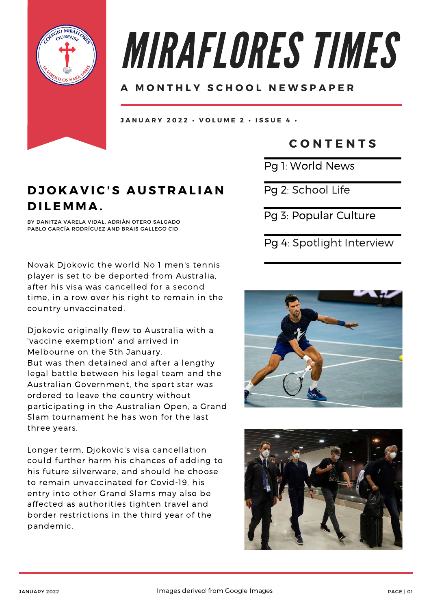

# MIRAFLORES TIMES

### **A M O N T H L Y S C H O O L N E W S P A P E R**

JANUARY 2022 · VOLUME 2 · ISSUE 4 ·

## **C O N T E N T S**

Pg 1: World News

 $D$ *JOKAVIC'S AUSTRALIAN* **D I L E M M A .**

BY DANITZA VARELA VIDAL, ADRIÀN OTERO SALGADO PABLO GARCÍA RODRÍGUEZ AND BRAIS GALLEGO CID

Novak Djokovic the world No 1 men's tennis player is set to be deported from Australia, after his visa was cancelled for a second time, in a row over his right to remain in the country unvaccinated.

Djokovic originally flew to Australia with a 'vaccine exemption' and arrived in Melbourne on the 5th January. But was then detained and after a lengthy legal battle between his legal team and the Australian Government, the sport star was ordered to leave the country without participating in the Australian Open, a Grand Slam tournament he has won for the last three years.

Longer term, Djokovic's visa cancellation could further harm his chances of adding to his future silverware, and should he choose to remain unvaccinated for Covid-19, his entry into other Grand Slams may also be affected as authorities tighten travel and border restrictions in the third year of the pandemic.

Pg 2: School Life

Pg 3: Popular Culture

## Pg 4: Spotlight Interview



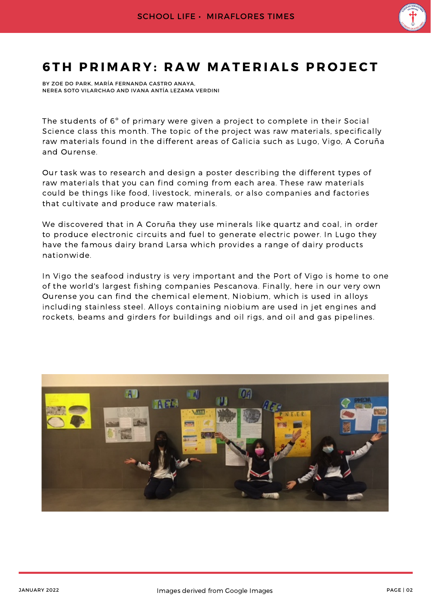

## **6TH PRIMARY: RAW MATERIALS PROJECT**

BY ZOE DO PARK, MARÍA FERNANDA CASTRO ANAYA, NEREA SOTO VILARCHAO AND IVANA ANTÍA LEZAMA VERDINI

The students of 6º of primary were given a project to complete in their Social Science class this month. The topic of the project was raw materials, specifically raw materials found in the different areas of Galicia such as Lugo, Vigo, A Coruña and Ourense.

Our task was to research and design a poster describing the different types of raw materials that you can find coming from each area. These raw materials could be things like food, livestock, minerals, or also companies and factories that cultivate and produce raw materials.

We discovered that in A Coruña they use minerals like quartz and coal, in order to produce electronic circuits and fuel to generate electric power. In Lugo they have the famous dairy brand Larsa which provides a range of dairy products nationwide.

In Vigo the seafood industry is very important and the Port of Vigo is home to one of the world's largest fishing companies Pescanova. Finally, here in our very own Ourense you can find the chemical element, Niobium, which is used in alloys including stainless steel. Alloys containing niobium are used in jet engines and rockets, beams and girders for buildings and oil rigs, and oil and gas pipelines.

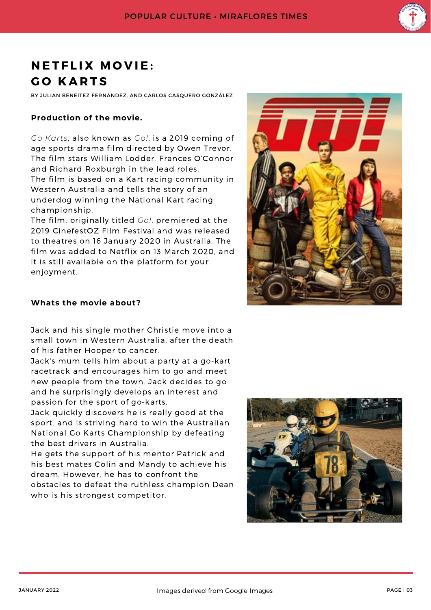

# **N E T F L I X M O V I E : G O K A R T S**

BY JULIAN BENEITEZ FERNÁNDEZ, AND CARLOS CASQUERO GONZÁLEZ

#### **Production of the movie.**

*Go Karts*, also known as *Go!*, is a 2019 coming of age sports drama film directed by Owen Trevor. The film stars William Lodder, Frances O'Connor and Richard Roxburgh in the lead roles. The film is based on a Kart racing community in Western Australia and tells the story of an underdog winning the National Kart racing championship.

The film, originally titled *Go!*, premiered at the 2019 CinefestOZ Film Festival and was released to theatres on 16 January 2020 in Australia. The film was added to Netflix on 13 March 2020, and it is still available on the platform for your enjoyment.



#### **Whats the movie about?**

Jack and his single mother Christie move into a small town in Western Australia, after the death of his father Hooper to cancer.

Jack's mum tells him about a party at a go-kart racetrack and encourages him to go and meet new people from the town. Jack decides to go and he surprisingly develops an interest and passion for the sport of go-karts.

Jack quickly discovers he is really good at the sport, and is striving hard to win the Australian National Go Karts Championship by defeating the best drivers in Australia.

He gets the support of his mentor Patrick and his best mates Colin and Mandy to achieve his dream. However, he has to confront the obstacles to defeat the ruthless champion Dean who is his strongest competitor.